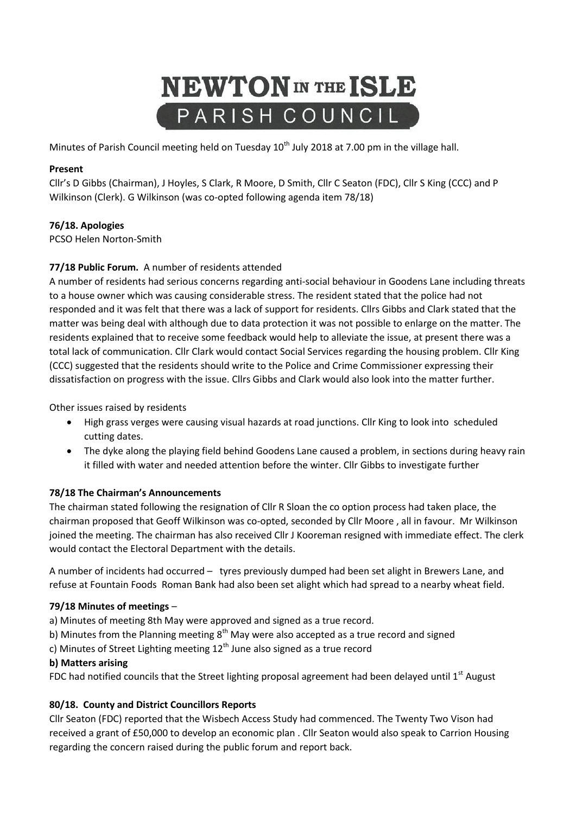# **NEWTON** IN THE ISLE PARISH COUNCIL

Minutes of Parish Council meeting held on Tuesday 10<sup>th</sup> July 2018 at 7.00 pm in the village hall.

## **Present**

Cllr's D Gibbs (Chairman), J Hoyles, S Clark, R Moore, D Smith, Cllr C Seaton (FDC), Cllr S King (CCC) and P Wilkinson (Clerk). G Wilkinson (was co-opted following agenda item 78/18)

# **76/18. Apologies**

PCSO Helen Norton-Smith

# **77/18 Public Forum.** A number of residents attended

A number of residents had serious concerns regarding anti-social behaviour in Goodens Lane including threats to a house owner which was causing considerable stress. The resident stated that the police had not responded and it was felt that there was a lack of support for residents. Cllrs Gibbs and Clark stated that the matter was being deal with although due to data protection it was not possible to enlarge on the matter. The residents explained that to receive some feedback would help to alleviate the issue, at present there was a total lack of communication. Cllr Clark would contact Social Services regarding the housing problem. Cllr King (CCC) suggested that the residents should write to the Police and Crime Commissioner expressing their dissatisfaction on progress with the issue. Cllrs Gibbs and Clark would also look into the matter further.

Other issues raised by residents

- High grass verges were causing visual hazards at road junctions. Cllr King to look into scheduled cutting dates.
- The dyke along the playing field behind Goodens Lane caused a problem, in sections during heavy rain it filled with water and needed attention before the winter. Cllr Gibbs to investigate further

## **78/18 The Chairman's Announcements**

The chairman stated following the resignation of Cllr R Sloan the co option process had taken place, the chairman proposed that Geoff Wilkinson was co-opted, seconded by Cllr Moore , all in favour. Mr Wilkinson joined the meeting. The chairman has also received Cllr J Kooreman resigned with immediate effect. The clerk would contact the Electoral Department with the details.

A number of incidents had occurred – tyres previously dumped had been set alight in Brewers Lane, and refuse at Fountain Foods Roman Bank had also been set alight which had spread to a nearby wheat field.

## **79/18 Minutes of meetings** –

a) Minutes of meeting 8th May were approved and signed as a true record.

- b) Minutes from the Planning meeting 8<sup>th</sup> May were also accepted as a true record and signed
- c) Minutes of Street Lighting meeting  $12<sup>th</sup>$  June also signed as a true record

## **b) Matters arising**

FDC had notified councils that the Street lighting proposal agreement had been delayed until  $1<sup>st</sup>$  August

# **80/18. County and District Councillors Reports**

Cllr Seaton (FDC) reported that the Wisbech Access Study had commenced. The Twenty Two Vison had received a grant of £50,000 to develop an economic plan . Cllr Seaton would also speak to Carrion Housing regarding the concern raised during the public forum and report back.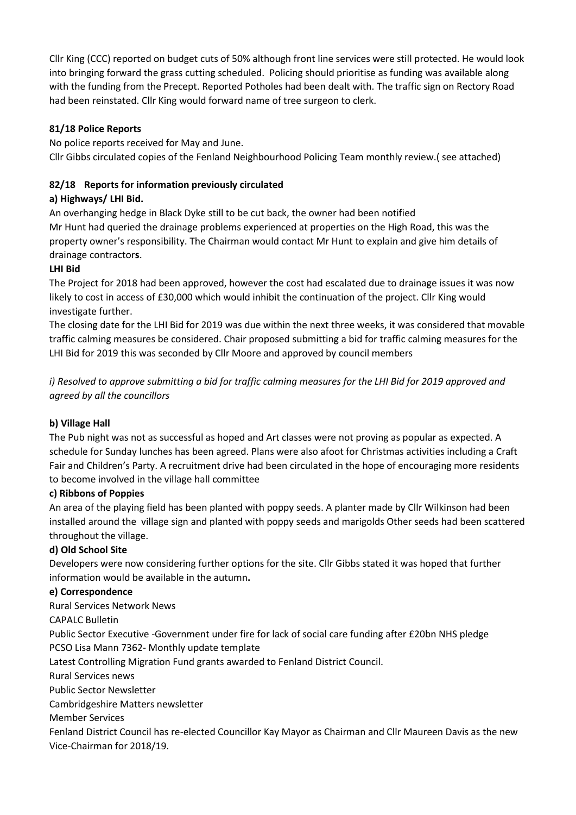Cllr King (CCC) reported on budget cuts of 50% although front line services were still protected. He would look into bringing forward the grass cutting scheduled. Policing should prioritise as funding was available along with the funding from the Precept. Reported Potholes had been dealt with. The traffic sign on Rectory Road had been reinstated. Cllr King would forward name of tree surgeon to clerk.

## **81/18 Police Reports**

No police reports received for May and June. Cllr Gibbs circulated copies of the Fenland Neighbourhood Policing Team monthly review.( see attached)

# **82/18 Reports for information previously circulated**

# **a) Highways/ LHI Bid.**

An overhanging hedge in Black Dyke still to be cut back, the owner had been notified Mr Hunt had queried the drainage problems experienced at properties on the High Road, this was the property owner's responsibility. The Chairman would contact Mr Hunt to explain and give him details of drainage contractor**s**.

# **LHI Bid**

The Project for 2018 had been approved, however the cost had escalated due to drainage issues it was now likely to cost in access of £30,000 which would inhibit the continuation of the project. Cllr King would investigate further.

The closing date for the LHI Bid for 2019 was due within the next three weeks, it was considered that movable traffic calming measures be considered. Chair proposed submitting a bid for traffic calming measures for the LHI Bid for 2019 this was seconded by Cllr Moore and approved by council members

*i)* Resolved to approve submitting a bid for traffic calming measures for the LHI Bid for 2019 approved and *agreed by all the councillors*

# **b) Village Hall**

The Pub night was not as successful as hoped and Art classes were not proving as popular as expected. A schedule for Sunday lunches has been agreed. Plans were also afoot for Christmas activities including a Craft Fair and Children's Party. A recruitment drive had been circulated in the hope of encouraging more residents to become involved in the village hall committee

# **c) Ribbons of Poppies**

An area of the playing field has been planted with poppy seeds. A planter made by Cllr Wilkinson had been installed around the village sign and planted with poppy seeds and marigolds Other seeds had been scattered throughout the village.

# **d) Old School Site**

Developers were now considering further options for the site. Cllr Gibbs stated it was hoped that further information would be available in the autumn**.**

## **e) Correspondence**

Rural Services Network News

CAPALC Bulletin

Public Sector Executive -Government under fire for lack of social care funding after £20bn NHS pledge PCSO Lisa Mann 7362- Monthly update template

Latest Controlling Migration Fund grants awarded to Fenland District Council.

Rural Services news

Public Sector Newsletter

Cambridgeshire Matters newsletter

Member Services

Fenland District Council has re-elected Councillor Kay Mayor as Chairman and Cllr Maureen Davis as the new Vice-Chairman for 2018/19.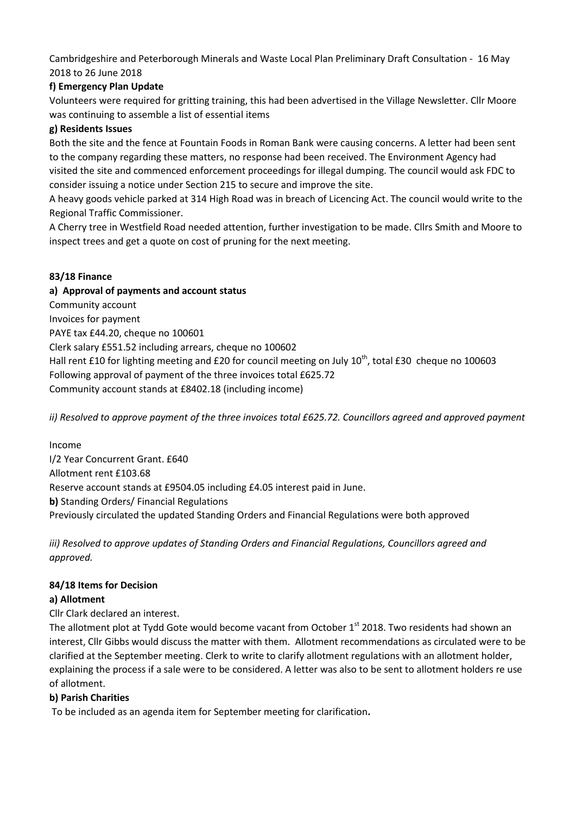Cambridgeshire and Peterborough Minerals and Waste Local Plan Preliminary Draft Consultation - 16 May 2018 to 26 June 2018

## **f) Emergency Plan Update**

Volunteers were required for gritting training, this had been advertised in the Village Newsletter. Cllr Moore was continuing to assemble a list of essential items

#### **g) Residents Issues**

Both the site and the fence at Fountain Foods in Roman Bank were causing concerns. A letter had been sent to the company regarding these matters, no response had been received. The Environment Agency had visited the site and commenced enforcement proceedings for illegal dumping. The council would ask FDC to consider issuing a notice under Section 215 to secure and improve the site.

A heavy goods vehicle parked at 314 High Road was in breach of Licencing Act. The council would write to the Regional Traffic Commissioner.

A Cherry tree in Westfield Road needed attention, further investigation to be made. Cllrs Smith and Moore to inspect trees and get a quote on cost of pruning for the next meeting.

## **83/18 Finance**

**a) Approval of payments and account status** Community account Invoices for payment PAYE tax £44.20, cheque no 100601 Clerk salary £551.52 including arrears, cheque no 100602 Hall rent £10 for lighting meeting and £20 for council meeting on July  $10^{th}$ , total £30 cheque no 100603 Following approval of payment of the three invoices total £625.72 Community account stands at £8402.18 (including income)

*ii) Resolved to approve payment of the three invoices total £625.72. Councillors agreed and approved payment*

## Income

I/2 Year Concurrent Grant. £640 Allotment rent £103.68 Reserve account stands at £9504.05 including £4.05 interest paid in June. **b)** Standing Orders/ Financial Regulations Previously circulated the updated Standing Orders and Financial Regulations were both approved

*iii) Resolved to approve updates of Standing Orders and Financial Regulations, Councillors agreed and approved.*

## **84/18 Items for Decision**

## **a) Allotment**

Cllr Clark declared an interest.

The allotment plot at Tydd Gote would become vacant from October 1<sup>st</sup> 2018. Two residents had shown an interest, Cllr Gibbs would discuss the matter with them. Allotment recommendations as circulated were to be clarified at the September meeting. Clerk to write to clarify allotment regulations with an allotment holder, explaining the process if a sale were to be considered. A letter was also to be sent to allotment holders re use of allotment.

## **b) Parish Charities**

To be included as an agenda item for September meeting for clarification**.**